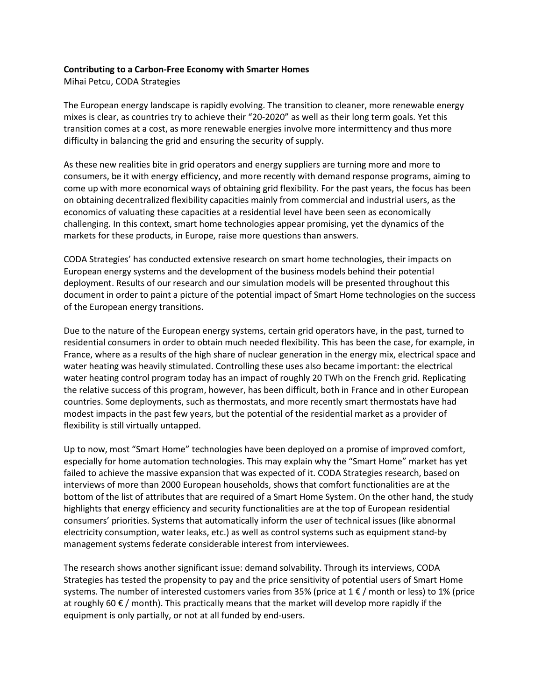## **Contributing to a Carbon-Free Economy with Smarter Homes**

Mihai Petcu, CODA Strategies

The European energy landscape is rapidly evolving. The transition to cleaner, more renewable energy mixes is clear, as countries try to achieve their "20-2020" as well as their long term goals. Yet this transition comes at a cost, as more renewable energies involve more intermittency and thus more difficulty in balancing the grid and ensuring the security of supply.

As these new realities bite in grid operators and energy suppliers are turning more and more to consumers, be it with energy efficiency, and more recently with demand response programs, aiming to come up with more economical ways of obtaining grid flexibility. For the past years, the focus has been on obtaining decentralized flexibility capacities mainly from commercial and industrial users, as the economics of valuating these capacities at a residential level have been seen as economically challenging. In this context, smart home technologies appear promising, yet the dynamics of the markets for these products, in Europe, raise more questions than answers.

CODA Strategies' has conducted extensive research on smart home technologies, their impacts on European energy systems and the development of the business models behind their potential deployment. Results of our research and our simulation models will be presented throughout this document in order to paint a picture of the potential impact of Smart Home technologies on the success of the European energy transitions.

Due to the nature of the European energy systems, certain grid operators have, in the past, turned to residential consumers in order to obtain much needed flexibility. This has been the case, for example, in France, where as a results of the high share of nuclear generation in the energy mix, electrical space and water heating was heavily stimulated. Controlling these uses also became important: the electrical water heating control program today has an impact of roughly 20 TWh on the French grid. Replicating the relative success of this program, however, has been difficult, both in France and in other European countries. Some deployments, such as thermostats, and more recently smart thermostats have had modest impacts in the past few years, but the potential of the residential market as a provider of flexibility is still virtually untapped.

Up to now, most "Smart Home" technologies have been deployed on a promise of improved comfort, especially for home automation technologies. This may explain why the "Smart Home" market has yet failed to achieve the massive expansion that was expected of it. CODA Strategies research, based on interviews of more than 2000 European households, shows that comfort functionalities are at the bottom of the list of attributes that are required of a Smart Home System. On the other hand, the study highlights that energy efficiency and security functionalities are at the top of European residential consumers' priorities. Systems that automatically inform the user of technical issues (like abnormal electricity consumption, water leaks, etc.) as well as control systems such as equipment stand-by management systems federate considerable interest from interviewees.

The research shows another significant issue: demand solvability. Through its interviews, CODA Strategies has tested the propensity to pay and the price sensitivity of potential users of Smart Home systems. The number of interested customers varies from 35% (price at  $1 \in \ell$  month or less) to 1% (price at roughly 60  $\epsilon$  / month). This practically means that the market will develop more rapidly if the equipment is only partially, or not at all funded by end-users.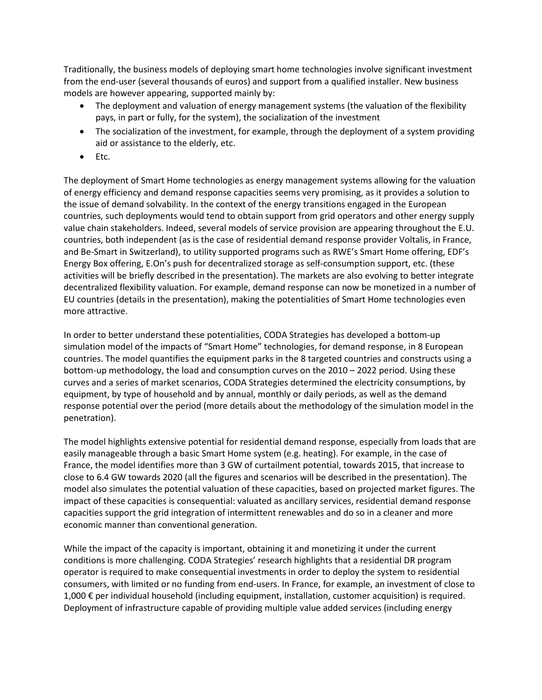Traditionally, the business models of deploying smart home technologies involve significant investment from the end-user (several thousands of euros) and support from a qualified installer. New business models are however appearing, supported mainly by:

- The deployment and valuation of energy management systems (the valuation of the flexibility pays, in part or fully, for the system), the socialization of the investment
- The socialization of the investment, for example, through the deployment of a system providing aid or assistance to the elderly, etc.
- Etc.

The deployment of Smart Home technologies as energy management systems allowing for the valuation of energy efficiency and demand response capacities seems very promising, as it provides a solution to the issue of demand solvability. In the context of the energy transitions engaged in the European countries, such deployments would tend to obtain support from grid operators and other energy supply value chain stakeholders. Indeed, several models of service provision are appearing throughout the E.U. countries, both independent (as is the case of residential demand response provider Voltalis, in France, and Be-Smart in Switzerland), to utility supported programs such as RWE's Smart Home offering, EDF's Energy Box offering, E.On's push for decentralized storage as self-consumption support, etc. (these activities will be briefly described in the presentation). The markets are also evolving to better integrate decentralized flexibility valuation. For example, demand response can now be monetized in a number of EU countries (details in the presentation), making the potentialities of Smart Home technologies even more attractive.

In order to better understand these potentialities, CODA Strategies has developed a bottom-up simulation model of the impacts of "Smart Home" technologies, for demand response, in 8 European countries. The model quantifies the equipment parks in the 8 targeted countries and constructs using a bottom-up methodology, the load and consumption curves on the 2010 – 2022 period. Using these curves and a series of market scenarios, CODA Strategies determined the electricity consumptions, by equipment, by type of household and by annual, monthly or daily periods, as well as the demand response potential over the period (more details about the methodology of the simulation model in the penetration).

The model highlights extensive potential for residential demand response, especially from loads that are easily manageable through a basic Smart Home system (e.g. heating). For example, in the case of France, the model identifies more than 3 GW of curtailment potential, towards 2015, that increase to close to 6.4 GW towards 2020 (all the figures and scenarios will be described in the presentation). The model also simulates the potential valuation of these capacities, based on projected market figures. The impact of these capacities is consequential: valuated as ancillary services, residential demand response capacities support the grid integration of intermittent renewables and do so in a cleaner and more economic manner than conventional generation.

While the impact of the capacity is important, obtaining it and monetizing it under the current conditions is more challenging. CODA Strategies' research highlights that a residential DR program operator is required to make consequential investments in order to deploy the system to residential consumers, with limited or no funding from end-users. In France, for example, an investment of close to 1,000 € per individual household (including equipment, installation, customer acquisition) is required. Deployment of infrastructure capable of providing multiple value added services (including energy